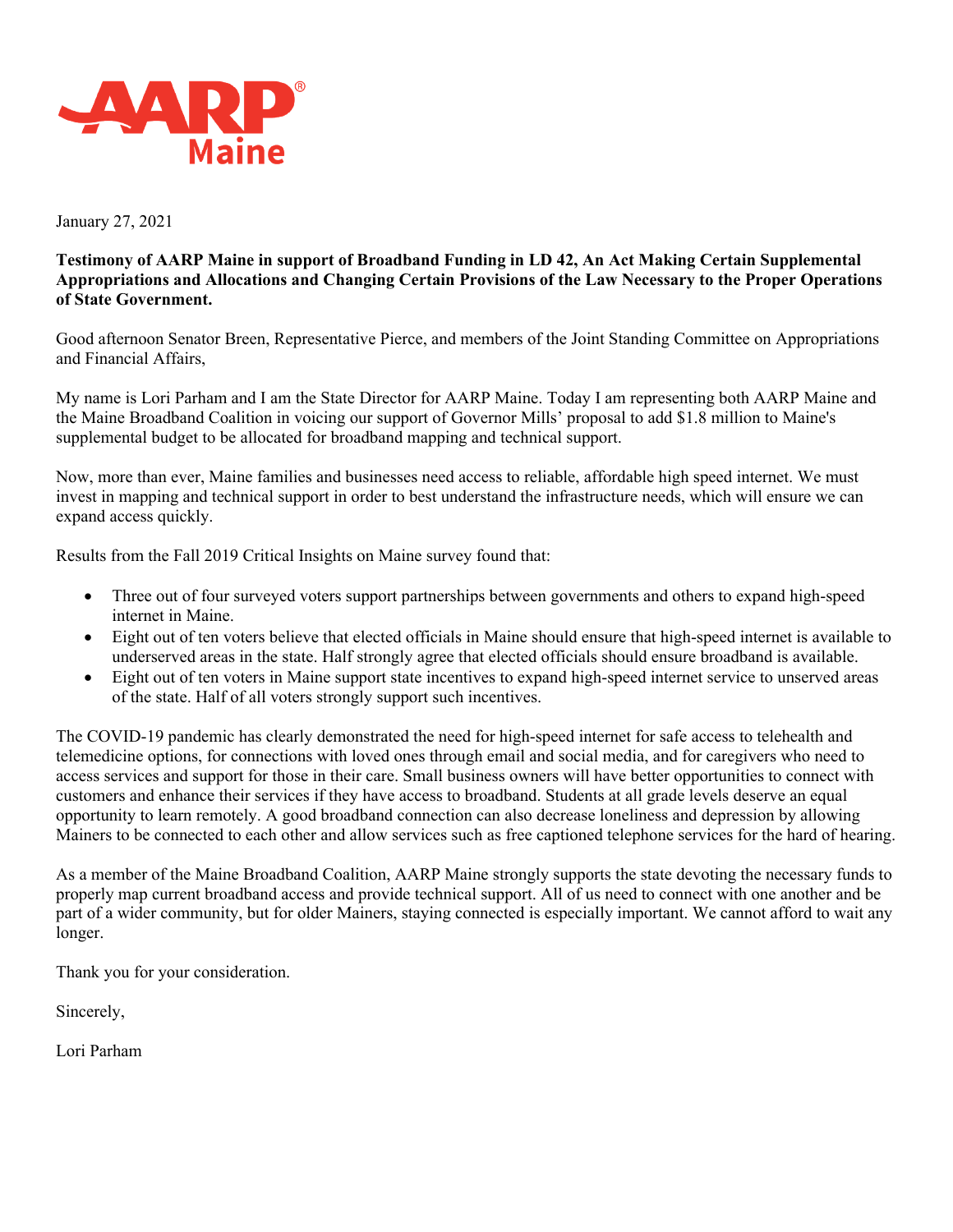

January 27, 2021

## **Testimony of AARP Maine in support of Broadband Funding in LD 42, An Act Making Certain Supplemental Appropriations and Allocations and Changing Certain Provisions of the Law Necessary to the Proper Operations of State Government.**

Good afternoon Senator Breen, Representative Pierce, and members of the Joint Standing Committee on Appropriations and Financial Affairs,

My name is Lori Parham and I am the State Director for AARP Maine. Today I am representing both AARP Maine and the Maine Broadband Coalition in voicing our support of Governor Mills' proposal to add \$1.8 million to Maine's supplemental budget to be allocated for broadband mapping and technical support.

Now, more than ever, Maine families and businesses need access to reliable, affordable high speed internet. We must invest in mapping and technical support in order to best understand the infrastructure needs, which will ensure we can expand access quickly.

Results from the Fall 2019 Critical Insights on Maine survey found that:

- Three out of four surveyed voters support partnerships between governments and others to expand high-speed internet in Maine.
- Eight out of ten voters believe that elected officials in Maine should ensure that high-speed internet is available to underserved areas in the state. Half strongly agree that elected officials should ensure broadband is available.
- Eight out of ten voters in Maine support state incentives to expand high-speed internet service to unserved areas of the state. Half of all voters strongly support such incentives.

The COVID-19 pandemic has clearly demonstrated the need for high-speed internet for safe access to telehealth and telemedicine options, for connections with loved ones through email and social media, and for caregivers who need to access services and support for those in their care. Small business owners will have better opportunities to connect with customers and enhance their services if they have access to broadband. Students at all grade levels deserve an equal opportunity to learn remotely. A good broadband connection can also decrease loneliness and depression by allowing Mainers to be connected to each other and allow services such as free captioned telephone services for the hard of hearing.

As a member of the Maine Broadband Coalition, AARP Maine strongly supports the state devoting the necessary funds to properly map current broadband access and provide technical support. All of us need to connect with one another and be part of a wider community, but for older Mainers, staying connected is especially important. We cannot afford to wait any longer.

Thank you for your consideration.

Sincerely,

Lori Parham